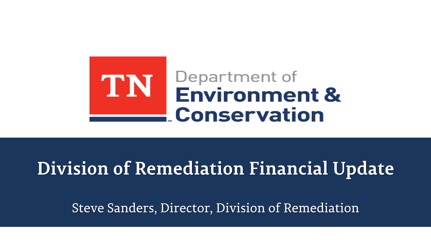

## **Division of Remediation Financial Update**

Steve Sanders, Director, Division of Remediation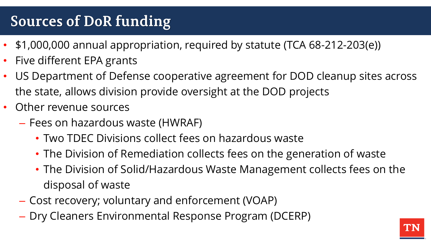## **Sources of DoR funding**

- \$1,000,000 annual appropriation, required by statute (TCA 68-212-203(e))
- Five different EPA grants
- US Department of Defense cooperative agreement for DOD cleanup sites across the state, allows division provide oversight at the DOD projects
- Other revenue sources
	- Fees on hazardous waste (HWRAF)
		- Two TDEC Divisions collect fees on hazardous waste
		- The Division of Remediation collects fees on the generation of waste
		- The Division of Solid/Hazardous Waste Management collects fees on the disposal of waste
	- Cost recovery; voluntary and enforcement (VOAP)
	- Dry Cleaners Environmental Response Program (DCERP)

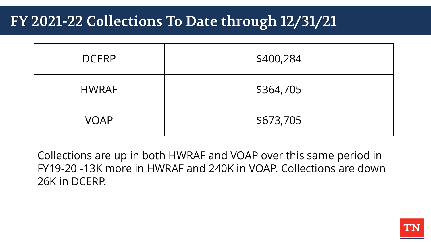## FY 2021-22 Collections To Date through 12/31/21

| <b>DCERP</b> | \$400,284 |
|--------------|-----------|
| <b>HWRAF</b> | \$364,705 |
| <b>VOAP</b>  | \$673,705 |

Collections are up in both HWRAF and VOAP over this same period in FY19-20 -13K more in HWRAF and 240K in VOAP. Collections are down 26K in DCERP.

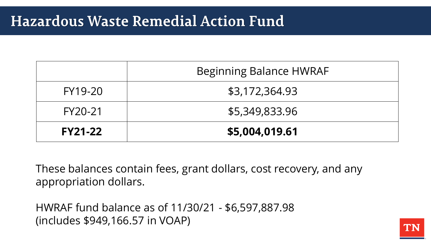|                | <b>Beginning Balance HWRAF</b> |
|----------------|--------------------------------|
| FY19-20        | \$3,172,364.93                 |
| FY20-21        | \$5,349,833.96                 |
| <b>FY21-22</b> | \$5,004,019.61                 |

These balances contain fees, grant dollars, cost recovery, and any appropriation dollars.

HWRAF fund balance as of 11/30/21 - \$6,597,887.98 (includes \$949,166.57 in VOAP)